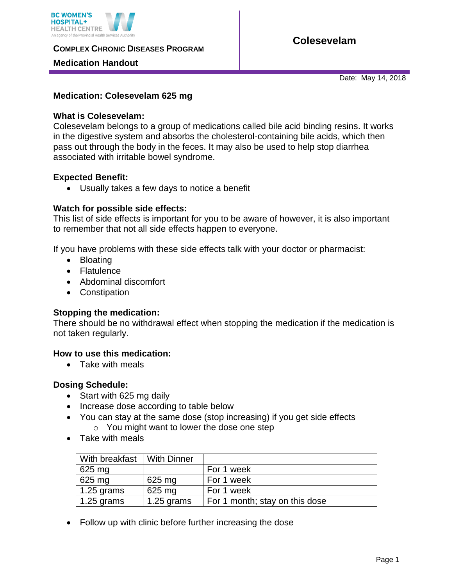

**COMPLEX CHRONIC DISEASES PROGRAM** 

## **Medication Handout**

**Colesevelam**

Date: May 14, 2018

#### **Medication: Colesevelam 625 mg**

### **What is Colesevelam:**

Colesevelam belongs to a group of medications called bile acid binding resins. It works in the digestive system and absorbs the cholesterol-containing bile acids, which then pass out through the body in the feces. It may also be used to help stop diarrhea associated with irritable bowel syndrome.

#### **Expected Benefit:**

Usually takes a few days to notice a benefit

#### **Watch for possible side effects:**

This list of side effects is important for you to be aware of however, it is also important to remember that not all side effects happen to everyone.

If you have problems with these side effects talk with your doctor or pharmacist:

- Bloating
- Flatulence
- Abdominal discomfort
- Constipation

#### **Stopping the medication:**

There should be no withdrawal effect when stopping the medication if the medication is not taken regularly.

#### **How to use this medication:**

• Take with meals

#### **Dosing Schedule:**

- Start with 625 mg daily
- Increase dose according to table below
- You can stay at the same dose (stop increasing) if you get side effects o You might want to lower the dose one step
- Take with meals

| With breakfast   With Dinner |            |                                |
|------------------------------|------------|--------------------------------|
| 625 mg                       |            | For 1 week                     |
| 625 mg                       | 625 mg     | For 1 week                     |
| 1.25 grams                   | 625 mg     | For 1 week                     |
| $1.25$ grams                 | 1.25 grams | For 1 month; stay on this dose |

• Follow up with clinic before further increasing the dose